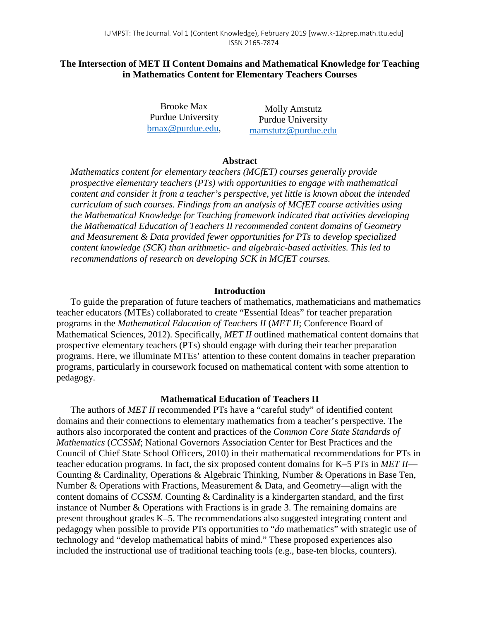# **The Intersection of MET II Content Domains and Mathematical Knowledge for Teaching in Mathematics Content for Elementary Teachers Courses**

Brooke Max Purdue University [bmax@purdue.edu,](mailto:bmax@purdue.edu)

Molly Amstutz Purdue University [mamstutz@purdue.edu](mailto:mamstutz@purdue.edu)

## **Abstract**

*Mathematics content for elementary teachers (MCfET) courses generally provide prospective elementary teachers (PTs) with opportunities to engage with mathematical content and consider it from a teacher's perspective, yet little is known about the intended curriculum of such courses. Findings from an analysis of MCfET course activities using the Mathematical Knowledge for Teaching framework indicated that activities developing the Mathematical Education of Teachers II recommended content domains of Geometry and Measurement & Data provided fewer opportunities for PTs to develop specialized content knowledge (SCK) than arithmetic- and algebraic-based activities. This led to recommendations of research on developing SCK in MCfET courses.*

### **Introduction**

To guide the preparation of future teachers of mathematics, mathematicians and mathematics teacher educators (MTEs) collaborated to create "Essential Ideas" for teacher preparation programs in the *Mathematical Education of Teachers II* (*MET II*; Conference Board of Mathematical Sciences, 2012). Specifically, *MET II* outlined mathematical content domains that prospective elementary teachers (PTs) should engage with during their teacher preparation programs. Here, we illuminate MTEs' attention to these content domains in teacher preparation programs, particularly in coursework focused on mathematical content with some attention to pedagogy.

#### **Mathematical Education of Teachers II**

The authors of *MET II* recommended PTs have a "careful study" of identified content domains and their connections to elementary mathematics from a teacher's perspective. The authors also incorporated the content and practices of the *Common Core State Standards of Mathematics* (*CCSSM*; National Governors Association Center for Best Practices and the Council of Chief State School Officers, 2010) in their mathematical recommendations for PTs in teacher education programs. In fact, the six proposed content domains for K–5 PTs in *MET II*— Counting & Cardinality, Operations & Algebraic Thinking, Number & Operations in Base Ten, Number & Operations with Fractions, Measurement & Data, and Geometry—align with the content domains of *CCSSM*. Counting & Cardinality is a kindergarten standard, and the first instance of Number & Operations with Fractions is in grade 3. The remaining domains are present throughout grades K–5. The recommendations also suggested integrating content and pedagogy when possible to provide PTs opportunities to "*do* mathematics" with strategic use of technology and "develop mathematical habits of mind." These proposed experiences also included the instructional use of traditional teaching tools (e.g., base-ten blocks, counters).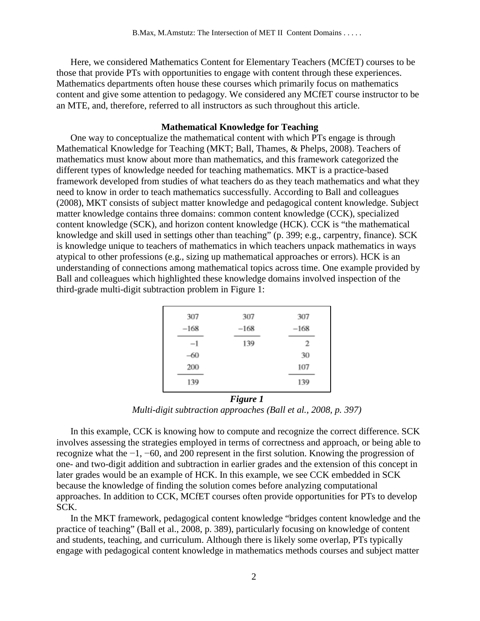Here, we considered Mathematics Content for Elementary Teachers (MCfET) courses to be those that provide PTs with opportunities to engage with content through these experiences. Mathematics departments often house these courses which primarily focus on mathematics content and give some attention to pedagogy. We considered any MCfET course instructor to be an MTE, and, therefore, referred to all instructors as such throughout this article.

### **Mathematical Knowledge for Teaching**

One way to conceptualize the mathematical content with which PTs engage is through Mathematical Knowledge for Teaching (MKT; Ball, Thames, & Phelps, 2008). Teachers of mathematics must know about more than mathematics, and this framework categorized the different types of knowledge needed for teaching mathematics. MKT is a practice-based framework developed from studies of what teachers do as they teach mathematics and what they need to know in order to teach mathematics successfully. According to Ball and colleagues (2008), MKT consists of subject matter knowledge and pedagogical content knowledge. Subject matter knowledge contains three domains: common content knowledge (CCK), specialized content knowledge (SCK), and horizon content knowledge (HCK). CCK is "the mathematical knowledge and skill used in settings other than teaching" (p. 399; e.g., carpentry, finance). SCK is knowledge unique to teachers of mathematics in which teachers unpack mathematics in ways atypical to other professions (e.g., sizing up mathematical approaches or errors). HCK is an understanding of connections among mathematical topics across time. One example provided by Ball and colleagues which highlighted these knowledge domains involved inspection of the third-grade multi-digit subtraction problem in Figure 1:

| 307    | 307    | 307    |
|--------|--------|--------|
| $-168$ | $-168$ | $-168$ |
| $-1$   | 139    | 2      |
| -60    |        | 30     |
| 200    |        | 107    |
| 139    |        | 139    |

*Figure 1 Multi-digit subtraction approaches (Ball et al., 2008, p. 397)*

In this example, CCK is knowing how to compute and recognize the correct difference. SCK involves assessing the strategies employed in terms of correctness and approach, or being able to recognize what the −1, −60, and 200 represent in the first solution. Knowing the progression of one- and two-digit addition and subtraction in earlier grades and the extension of this concept in later grades would be an example of HCK. In this example, we see CCK embedded in SCK because the knowledge of finding the solution comes before analyzing computational approaches. In addition to CCK, MCfET courses often provide opportunities for PTs to develop SCK.

In the MKT framework, pedagogical content knowledge "bridges content knowledge and the practice of teaching" (Ball et al., 2008, p. 389), particularly focusing on knowledge of content and students, teaching, and curriculum. Although there is likely some overlap, PTs typically engage with pedagogical content knowledge in mathematics methods courses and subject matter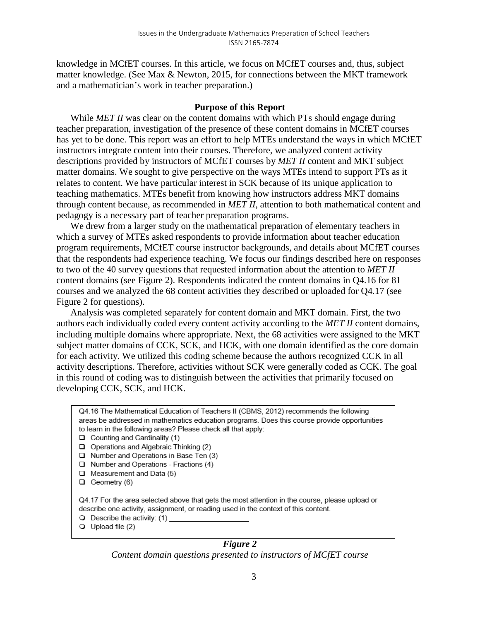knowledge in MCfET courses. In this article, we focus on MCfET courses and, thus, subject matter knowledge. (See Max & Newton, 2015, for connections between the MKT framework and a mathematician's work in teacher preparation.)

### **Purpose of this Report**

While *MET II* was clear on the content domains with which PTs should engage during teacher preparation, investigation of the presence of these content domains in MCfET courses has yet to be done. This report was an effort to help MTEs understand the ways in which MCfET instructors integrate content into their courses. Therefore, we analyzed content activity descriptions provided by instructors of MCfET courses by *MET II* content and MKT subject matter domains. We sought to give perspective on the ways MTEs intend to support PTs as it relates to content. We have particular interest in SCK because of its unique application to teaching mathematics. MTEs benefit from knowing how instructors address MKT domains through content because, as recommended in *MET II*, attention to both mathematical content and pedagogy is a necessary part of teacher preparation programs.

We drew from a larger study on the mathematical preparation of elementary teachers in which a survey of MTEs asked respondents to provide information about teacher education program requirements, MCfET course instructor backgrounds, and details about MCfET courses that the respondents had experience teaching. We focus our findings described here on responses to two of the 40 survey questions that requested information about the attention to *MET II*  content domains (see Figure 2). Respondents indicated the content domains in Q4.16 for 81 courses and we analyzed the 68 content activities they described or uploaded for Q4.17 (see Figure 2 for questions).

Analysis was completed separately for content domain and MKT domain. First, the two authors each individually coded every content activity according to the *MET II* content domains, including multiple domains where appropriate. Next, the 68 activities were assigned to the MKT subject matter domains of CCK, SCK, and HCK, with one domain identified as the core domain for each activity. We utilized this coding scheme because the authors recognized CCK in all activity descriptions. Therefore, activities without SCK were generally coded as CCK. The goal in this round of coding was to distinguish between the activities that primarily focused on developing CCK, SCK, and HCK.

| Q4.16 The Mathematical Education of Teachers II (CBMS, 2012) recommends the following                                                                                                                                                                  |  |  |  |  |  |
|--------------------------------------------------------------------------------------------------------------------------------------------------------------------------------------------------------------------------------------------------------|--|--|--|--|--|
| areas be addressed in mathematics education programs. Does this course provide opportunities                                                                                                                                                           |  |  |  |  |  |
| to learn in the following areas? Please check all that apply:                                                                                                                                                                                          |  |  |  |  |  |
| $\Box$ Counting and Cardinality (1)                                                                                                                                                                                                                    |  |  |  |  |  |
| Operations and Algebraic Thinking (2)<br>ப                                                                                                                                                                                                             |  |  |  |  |  |
| $\Box$ Number and Operations in Base Ten (3)                                                                                                                                                                                                           |  |  |  |  |  |
| $\Box$ Number and Operations - Fractions (4)                                                                                                                                                                                                           |  |  |  |  |  |
| $\Box$ Measurement and Data (5)                                                                                                                                                                                                                        |  |  |  |  |  |
| Geometry (6)<br>⊔                                                                                                                                                                                                                                      |  |  |  |  |  |
| Q4.17 For the area selected above that gets the most attention in the course, please upload or<br>describe one activity, assignment, or reading used in the context of this content.<br>$\bigcirc$ Describe the activity: (1)<br>$Q$ Upload file $(2)$ |  |  |  |  |  |
| Figure 2                                                                                                                                                                                                                                               |  |  |  |  |  |

*Content domain questions presented to instructors of MCfET course*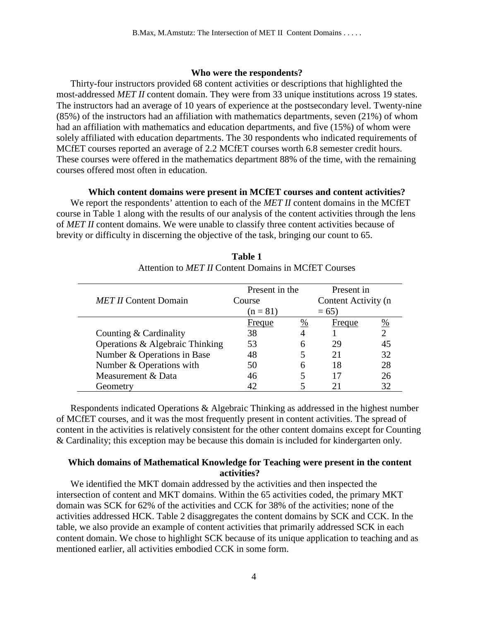# **Who were the respondents?**

Thirty-four instructors provided 68 content activities or descriptions that highlighted the most-addressed *MET II* content domain. They were from 33 unique institutions across 19 states. The instructors had an average of 10 years of experience at the postsecondary level. Twenty-nine (85%) of the instructors had an affiliation with mathematics departments, seven (21%) of whom had an affiliation with mathematics and education departments, and five (15%) of whom were solely affiliated with education departments. The 30 respondents who indicated requirements of MCfET courses reported an average of 2.2 MCfET courses worth 6.8 semester credit hours. These courses were offered in the mathematics department 88% of the time, with the remaining courses offered most often in education.

# **Which content domains were present in MCfET courses and content activities?**

We report the respondents' attention to each of the *MET II* content domains in the MCfET course in Table 1 along with the results of our analysis of the content activities through the lens of *MET II* content domains. We were unable to classify three content activities because of brevity or difficulty in discerning the objective of the task, bringing our count to 65.

|                                 | Present in the |   | Present in          |    |
|---------------------------------|----------------|---|---------------------|----|
| <b>MET II Content Domain</b>    | Course         |   | Content Activity (n |    |
|                                 | $(n = 81)$     |   | $= 65$              |    |
|                                 | Freque         | % | <b>Freque</b>       | %  |
| Counting & Cardinality          | 38             |   |                     |    |
| Operations & Algebraic Thinking | 53             | 6 | 29                  |    |
| Number & Operations in Base     | 48             |   | 21                  | 32 |
| Number & Operations with        | 50             | 6 | 18                  | 28 |
| Measurement & Data              | 46             |   | 17                  | 26 |
| Geometry                        |                |   |                     |    |

**Table 1** Attention to *MET II* Content Domains in MCfET Courses

Respondents indicated Operations & Algebraic Thinking as addressed in the highest number of MCfET courses, and it was the most frequently present in content activities. The spread of content in the activities is relatively consistent for the other content domains except for Counting & Cardinality; this exception may be because this domain is included for kindergarten only.

# **Which domains of Mathematical Knowledge for Teaching were present in the content activities?**

We identified the MKT domain addressed by the activities and then inspected the intersection of content and MKT domains. Within the 65 activities coded, the primary MKT domain was SCK for 62% of the activities and CCK for 38% of the activities; none of the activities addressed HCK. Table 2 disaggregates the content domains by SCK and CCK. In the table, we also provide an example of content activities that primarily addressed SCK in each content domain. We chose to highlight SCK because of its unique application to teaching and as mentioned earlier, all activities embodied CCK in some form.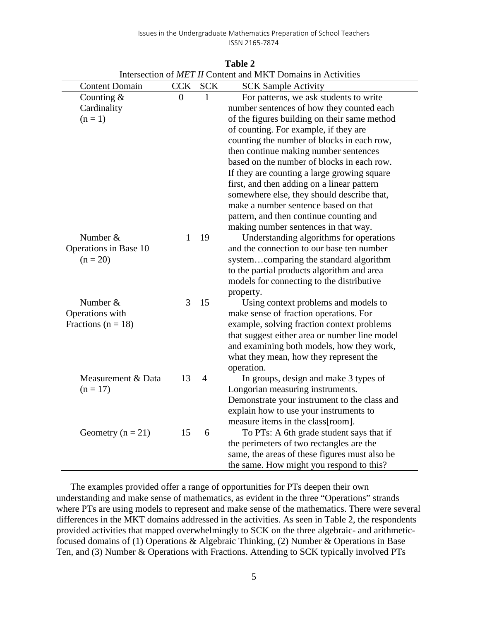| microction of <i>MET If</i> Content and MKT Domains in Activities |                |                |                                               |  |
|-------------------------------------------------------------------|----------------|----------------|-----------------------------------------------|--|
| <b>Content Domain</b>                                             | <b>CCK</b>     | <b>SCK</b>     | <b>SCK Sample Activity</b>                    |  |
| Counting $&$                                                      | $\overline{0}$ | 1              | For patterns, we ask students to write        |  |
| Cardinality                                                       |                |                | number sentences of how they counted each     |  |
| $(n=1)$                                                           |                |                | of the figures building on their same method  |  |
|                                                                   |                |                | of counting. For example, if they are         |  |
|                                                                   |                |                | counting the number of blocks in each row,    |  |
|                                                                   |                |                | then continue making number sentences         |  |
|                                                                   |                |                | based on the number of blocks in each row.    |  |
|                                                                   |                |                | If they are counting a large growing square   |  |
|                                                                   |                |                | first, and then adding on a linear pattern    |  |
|                                                                   |                |                | somewhere else, they should describe that,    |  |
|                                                                   |                |                | make a number sentence based on that          |  |
|                                                                   |                |                | pattern, and then continue counting and       |  |
|                                                                   |                |                | making number sentences in that way.          |  |
| Number &                                                          | 1              | 19             | Understanding algorithms for operations       |  |
| Operations in Base 10                                             |                |                | and the connection to our base ten number     |  |
| $(n = 20)$                                                        |                |                | systemcomparing the standard algorithm        |  |
|                                                                   |                |                | to the partial products algorithm and area    |  |
|                                                                   |                |                | models for connecting to the distributive     |  |
|                                                                   |                |                | property.                                     |  |
| Number &                                                          | 3              | 15             | Using context problems and models to          |  |
| Operations with                                                   |                |                | make sense of fraction operations. For        |  |
| Fractions ( $n = 18$ )                                            |                |                | example, solving fraction context problems    |  |
|                                                                   |                |                | that suggest either area or number line model |  |
|                                                                   |                |                | and examining both models, how they work,     |  |
|                                                                   |                |                | what they mean, how they represent the        |  |
|                                                                   |                |                | operation.                                    |  |
| Measurement & Data                                                | 13             | $\overline{4}$ | In groups, design and make 3 types of         |  |
| $(n = 17)$                                                        |                |                | Longorian measuring instruments.              |  |
|                                                                   |                |                | Demonstrate your instrument to the class and  |  |
|                                                                   |                |                | explain how to use your instruments to        |  |
|                                                                   |                |                | measure items in the class[room].             |  |
| Geometry ( $n = 21$ )                                             | 15             | 6              | To PTs: A 6th grade student says that if      |  |
|                                                                   |                |                | the perimeters of two rectangles are the      |  |
|                                                                   |                |                | same, the areas of these figures must also be |  |
|                                                                   |                |                | the same. How might you respond to this?      |  |
|                                                                   |                |                |                                               |  |

**Table 2** Intersection of *MET II* Content and MKT Domains in Activities

The examples provided offer a range of opportunities for PTs deepen their own understanding and make sense of mathematics, as evident in the three "Operations" strands where PTs are using models to represent and make sense of the mathematics. There were several differences in the MKT domains addressed in the activities. As seen in Table 2, the respondents provided activities that mapped overwhelmingly to SCK on the three algebraic- and arithmeticfocused domains of (1) Operations & Algebraic Thinking, (2) Number & Operations in Base Ten, and (3) Number & Operations with Fractions. Attending to SCK typically involved PTs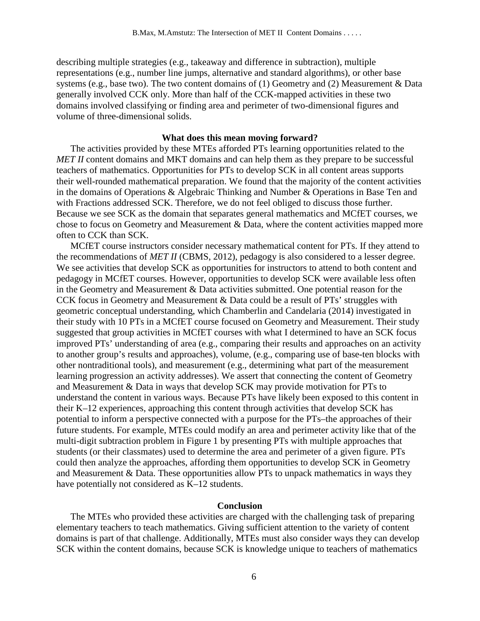describing multiple strategies (e.g., takeaway and difference in subtraction), multiple representations (e.g., number line jumps, alternative and standard algorithms), or other base systems (e.g., base two). The two content domains of (1) Geometry and (2) Measurement & Data generally involved CCK only. More than half of the CCK-mapped activities in these two domains involved classifying or finding area and perimeter of two-dimensional figures and volume of three-dimensional solids.

# **What does this mean moving forward?**

The activities provided by these MTEs afforded PTs learning opportunities related to the *MET II* content domains and MKT domains and can help them as they prepare to be successful teachers of mathematics. Opportunities for PTs to develop SCK in all content areas supports their well-rounded mathematical preparation. We found that the majority of the content activities in the domains of Operations & Algebraic Thinking and Number & Operations in Base Ten and with Fractions addressed SCK. Therefore, we do not feel obliged to discuss those further. Because we see SCK as the domain that separates general mathematics and MCfET courses, we chose to focus on Geometry and Measurement & Data, where the content activities mapped more often to CCK than SCK.

MCfET course instructors consider necessary mathematical content for PTs. If they attend to the recommendations of *MET II* (CBMS, 2012), pedagogy is also considered to a lesser degree. We see activities that develop SCK as opportunities for instructors to attend to both content and pedagogy in MCfET courses. However, opportunities to develop SCK were available less often in the Geometry and Measurement & Data activities submitted. One potential reason for the CCK focus in Geometry and Measurement & Data could be a result of PTs' struggles with geometric conceptual understanding, which Chamberlin and Candelaria (2014) investigated in their study with 10 PTs in a MCfET course focused on Geometry and Measurement. Their study suggested that group activities in MCfET courses with what I determined to have an SCK focus improved PTs' understanding of area (e.g., comparing their results and approaches on an activity to another group's results and approaches), volume, (e.g., comparing use of base-ten blocks with other nontraditional tools), and measurement (e.g., determining what part of the measurement learning progression an activity addresses). We assert that connecting the content of Geometry and Measurement & Data in ways that develop SCK may provide motivation for PTs to understand the content in various ways. Because PTs have likely been exposed to this content in their K–12 experiences, approaching this content through activities that develop SCK has potential to inform a perspective connected with a purpose for the PTs–the approaches of their future students. For example, MTEs could modify an area and perimeter activity like that of the multi-digit subtraction problem in Figure 1 by presenting PTs with multiple approaches that students (or their classmates) used to determine the area and perimeter of a given figure. PTs could then analyze the approaches, affording them opportunities to develop SCK in Geometry and Measurement & Data. These opportunities allow PTs to unpack mathematics in ways they have potentially not considered as K–12 students.

#### **Conclusion**

The MTEs who provided these activities are charged with the challenging task of preparing elementary teachers to teach mathematics. Giving sufficient attention to the variety of content domains is part of that challenge. Additionally, MTEs must also consider ways they can develop SCK within the content domains, because SCK is knowledge unique to teachers of mathematics